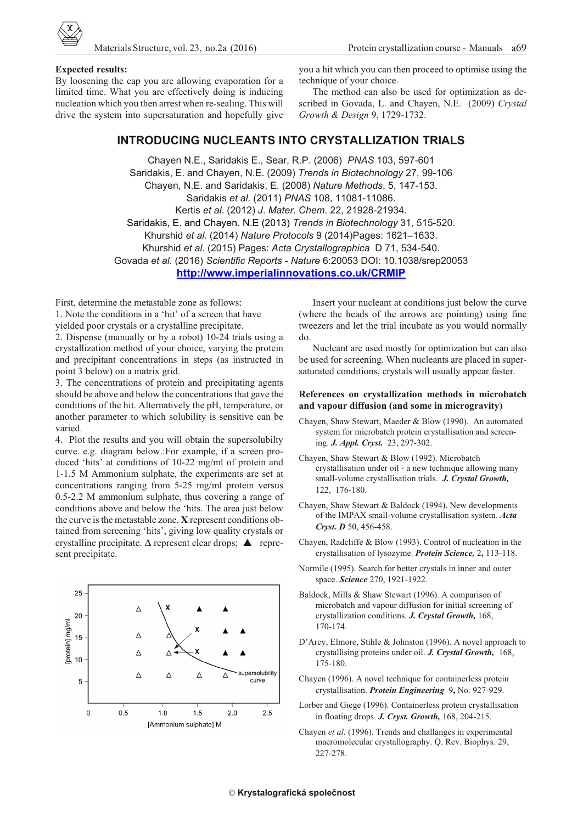

## **Ex pected re sults:**

By loosening the cap you are allowing evaporation for a limited time. What you are effectively doing is inducing nucleation which you then arrest when re-sealing. This will drive the system into supersaturation and hopefully give you a hit which you can then proceed to optimise using the technique of your choice.

The method can also be used for optimization as described in Govada, L. and Chayen, N.E. (2009) *Crystal Growth & De sign* 9, 1729-1732.

# **INTRODUCING NUCLEANTS INTO CRYSTALLIZATION TRIALS**

Chayen N.E., Saridakis E., Sear, R.P. (2006) *PNAS* 103, 597-601 Saridakis, E. and Chayen, N.E. (2009) *Trends in Biotechnology* 27, 99-106 Chayen, N.E. and Saridakis, E. (2008) *Na ture Meth ods*, 5, 147-153. Saridakis *et al.* (2011) *PNAS* 108, 11081-11086. Kertis *et al*. (2012) *J*. *Ma ter. Chem*. 22, 21928-21934. Saridakis, E. and Chayen. N.E (2013) *Trends in Biotechnology* 31, 515-520. Khurshid *et al.* (2014) *Na ture Pro to cols* 9 (2014)Pages: 1621–1633. Khurshid *et al.* (2015) Pages: *Acta Crystallographica* D 71, 534-540. Govada et al. (2016) Scientific Reports - Nature 6:20053 DOI: 10.1038/srep20053 **<http://www.imperialinnovations.co.uk/CRMIP>**

First, determine the metastable zone as follows:

1. Note the conditions in a 'hit' of a screen that have yielded poor crystals or a crystalline precipitate.

2. Dispense (manually or by a robot)  $10-24$  trials using a crystallization method of your choice, varying the protein and precipitant concentrations in steps (as instructed in point 3 below) on a matrix grid.

3. The concentrations of protein and precipitating agents should be above and below the concentrations that gave the conditions of the hit. Alternatively the pH, temperature, or another parameter to which solubility is sensitive can be varied

4. Plot the results and you will obtain the supersolubilty curve. e.g. diagram below.: For example, if a screen produced 'hits' at conditions of  $10-22$  mg/ml of protein and 1-1.5 M Ammonium sulphate, the experiments are set at concentrations ranging from 5-25 mg/ml protein versus  $0.5$ -2.2 M ammonium sulphate, thus covering a range of conditions above and below the 'hits. The area just below the curve is the metastable zone. **X** represent conditions obtained from screening 'hits', giving low quality crystals or crystalline precipitate.  $\Delta$  represent clear drops;  $\blacktriangle$  represent precipitate.



Insert your nucleant at conditions just below the curve (where the heads of the arrows are pointing) using fine tweezers and let the trial incubate as you would normally do.

Nucleant are used mostly for optimization but can also be used for screening. When nucleants are placed in supersaturated conditions, crystals will usually appear faster.

## **References on crystallization methods in microbatch** and vapour diffusion (and some in microgravity)

- Chayen, Shaw Stewart, Maeder & Blow (1990). An automated system for microbatch protein crystallisation and screening. *J. Appl. Cryst.*23, 297-302.
- Chayen, Shaw Stewart & Blow (1992). Microbatch crystallisation under oil - a new technique allowing many small-volume crystallisation trials. *J. Crystal Growth*, 122, 176-180.
- Chayen, Shaw Stewart & Baldock (1994). New developments of the IMPAX small-volume crystallisation system. Acta *Cryst. D* 50, 456-458.
- Chayen, Radcliffe & Blow (1993). Control of nucleation in the crystallisation of lysozyme. *Protein Science*, 2, 113-118.
- Normile (1995). Search for better crystals in inner and outer space. **Science** 270, 1921-1922.
- Baldock, Mills & Shaw Stewart (1996). A comparison of microbatch and vapour diffusion for initial screening of crystallization conditions. *J. Crystal Growth*, 168, 170-174.
- D'Arcy, Elmore, Stihle & Johnston (1996). A novel approach to crystallising proteins under oil. *J. Crystal Growth*, 168, 175-180.
- Chayen (1996). A novel technique for containerless protein crystallisation. *Protein Engineering* 9, No. 927-929.
- Lorber and Giege (1996). Containerless protein crystallisation in floating drops. *J. Cryst. Growth*, 168, 204-215.
- Chayen et al. (1996). Trends and challanges in experimental macromolecular crystallography. Q. Rev. Biophys. 29, 227-278.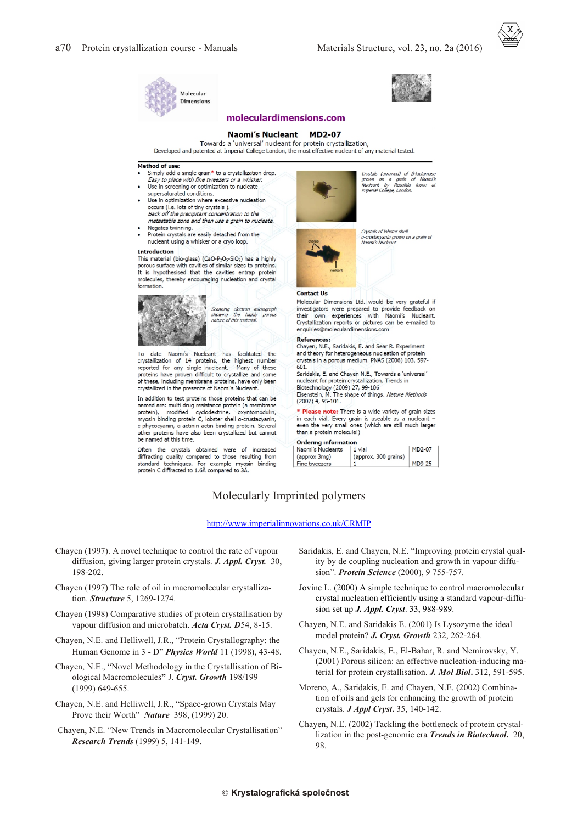



## moleculardimensions.com

#### **MD2-07 Naomi's Nucleant**

Towards a 'universal' nucleant for protein crystallization, Developed and patented at Imperial College London, the most effective nucleant of any material tested.

### Method of use:

- Simply add a single grain\* to a crystallization drop.<br>Easy to place with fine tweezers or a whisker.
- Use in screening or optimization to nucleate supersaturated conditions.
- Use in optimization where excessive nucleation occurs (i.e. lots of tiny crystals). Back off the precipitant concentration to the metastable zone and then use a grain to nucleate.
- Negates twinning. Protein crystals are easily detached from the
- nucleant using a whisker or a cryo loop.

### Introduction

This material (bio-glass) (CaO-P<sub>2</sub>O<sub>5</sub>-SiO<sub>2</sub>) has a highly porous surface with cavities of similar sizes to proteins It is hypothesised that the cavities entrap protein molecules, thereby encouraging nucleation and crystal formation.



Scanning electron micrograph<br>showing the highly porous<br>nature of this material.

To date Naomi's Nucleant has facilitated the<br>crystallization of 14 proteins, the highest number reported for any single nucleant. Many of these roteins have proven difficult to crystallize and some of these, including membrane proteins, have only been crystallized in the presence of Naomi's Nucleant.

In addition to test proteins those proteins that can be named are: multi drug resistance protein (a membrane modified cyclodextrine, oxyntomodulin, protein) protein), moainea cycloaextrine, oxyntomoauiin,<br>myosin binding protein C, lobster shell a-crustacyanin,<br>c-phycocyanin, a-actinin actin binding protein. Several other proteins have also been crystallized but cannot be named at this time.

Often the crystals obtained were of increased diffracting quality compared to those resulting from standard techniques. For example myosin binding<br>protein C diffracted to 1.6Å compared to 3Å.



Crystals (arrowed) of β-lactamase<br>grown on a grain of Naomi's<br>Nucleant by Rosalida leone at<br>imperial.College, London.

Crystals of lobster shell erysuns or lobset shell<br>a-crustacyanin grown on a grain of<br>Naomi's Nucleant.

#### **Contact Us**

Molecular Dimensions Ltd. would be very grateful if investigators were prepared to provide feedback on<br>their own experiences with Naomi's Nucleant. Crystallization reports or pictures can be e-mailed to enquiries@moleculardimensions.com

#### References:

Chayen, N.E., Saridakis, E. and Sear R. Experiment and theory for heterogeneous nucleation of protein<br>crystals in a porous medium. PNAS (2006) 103, 597- $601$ 

Saridakis, E. and Chayen N.E., Towards a 'universal' bundleant for protein crystallization. Trends in<br>Biotechnology (2009) 27, 99-106<br>Eisenstein, M. The shape of things. *Nature Methods*  $(2007)$  4, 95-101.

\* Please note: There is a wide variety of grain sizes

in each vial. Every grain is useable as a nucleant -<br>even the very small ones (which are still much larger than a protein molecule!)

| Ordering information |                      |        |
|----------------------|----------------------|--------|
| Naomi's Nucleants    | 1 vial               | MD2-07 |
| (approx 3mg)         | (approx. 300 grains) |        |
| Fine tweezers        |                      | MD9-25 |

# Molecularly Imprinted polymers

<http://www.imperialinnovations.co.uk/CRMIP>

- Chayen (1997). A novel technique to control the rate of vapour diffusion, giving larger protein crystals. *J. Appl. Cryst.* 30, 198-202.
- Chayen (1997) The role of oil in macromolecular crystallization. **Structure** 5, 1269-1274.
- Chayen (1998) Comparative studies of protein crystallisation by vapour diffusion and microbatch. *Acta Cryst. D54*, 8-15.
- Chayen, N.E. and Helliwell, J.R., "Protein Crystallography: the Human Genome in 3 - D" *Physics World* 11 (1998), 43-48.
- Chayen, N.E., "Novel Methodology in the Crystallisation of Biological Macromolecules" J. Cryst. Growth 198/199 (1999) 649-655.
- Chayen, N.E. and Helliwell, J.R., "Space-grown Crystals May Prove their Worth" *Nature* 398, (1999) 20.
- Chayen, N.E. "New Trends in Macromolecular Crystallisation" *Re search Trends* (1999) 5, 141-149.
- Saridakis, E. and Chayen, N.E. "Improving protein crystal quality by de coupling nucleation and growth in vapour diffusion". *Protein Science* (2000), 9 755-757.
- Jovine L. (2000) A simple technique to control macromolecular crystal nucleation efficiently using a standard vapour-diffusion set up *J. Appl. Cryst*. 33, 988-989.
- Chayen, N.E. and Saridakis E. (2001) Is Lysozyme the ideal model protein? *J. Cryst. Growth* 232, 262-264.
- Chayen, N.E., Saridakis, E., El-Bahar, R. and Nemirovsky, Y.  $(2001)$  Porous silicon: an effective nucleation-inducing material for protein crystallisation. *J. Mol Biol*, 312, 591-595.
- Moreno, A., Saridakis, E. and Chayen, N.E. (2002) Combination of oils and gels for enhancing the growth of protein crys tals. *J Appl Cryst***.** 35, 140-142.
- Chayen, N.E. (2002) Tackling the bottleneck of protein crystallization in the post-genomic era *Trends in Biotechnol*. 20, 98.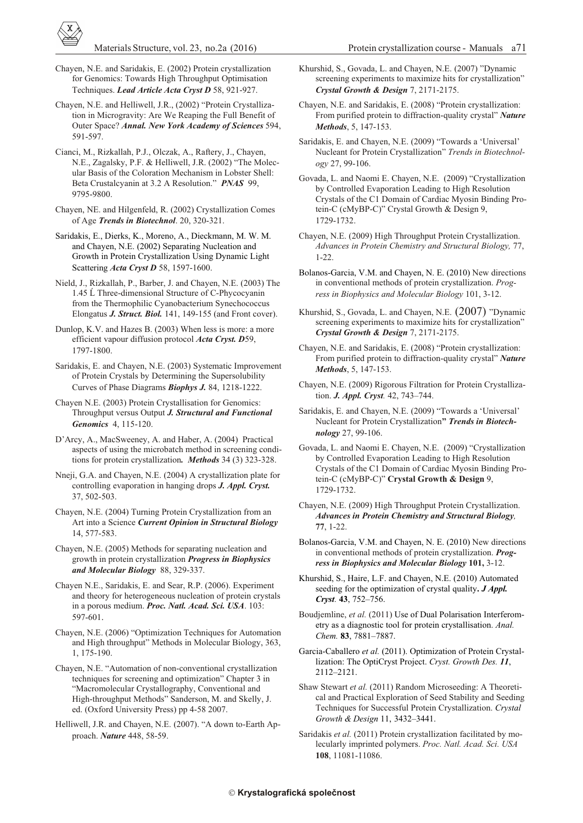Chayen, N.E. and Saridakis, E. (2002) Protein crystallization for Genomics: Towards High Throughput Optimisation Techniques. *Lead Article Acta Cryst D* 58, 921-927.

Chayen, N.E. and Helliwell, J.R., (2002) "Protein Crystallization in Microgravity: Are We Reaping the Full Benefit of Outer Space? Annal. New York Academy of Sciences 594, 591-597.

Cianci, M., Rizkallah, P.J., Olczak, A., Raftery, J., Chayen, N.E., Zagalsky, P.F. & Helliwell, J.R. (2002) "The Molecular Basis of the Coloration Mechanism in Lobster Shell: Beta Crustalcyanin at 3.2 A Resolution." *PNAS* 99, 9795-9800.

Chayen, NE. and Hilgenfeld, R. (2002) Crystallization Comes of Age *Trends in Biotechnol*. 20, 320-321.

Saridakis, E., Dierks, K., Moreno, A., Dieckmann, M. W. M. and Chayen, N.E. (2002) Separating Nucleation and Growth in Protein Crystallization Using Dynamic Light Scattering *Acta Cryst D* 58, 1597-1600.

Nield, J., Rizkallah, P., Barber, J. and Chayen, N.E. (2003) The 1.45  $\acute{L}$  Three-dimensional Structure of C-Phycocyanin from the Thermophilic Cyanobacterium Synechococcus Elongatus *J. Struct. Biol.* 141, 149-155 (and Front cover).

Dunlop, K.V. and Hazes B. (2003) When less is more: a more efficient vapour diffusion protocol *Acta Cryst. D59*, 1797-1800.

Saridakis, E. and Chayen, N.E. (2003) Systematic Improvement of Protein Crystals by Determining the Supersolubility Curves of Phase Diagrams *Biophys J.* 84, 1218-1222.

Chayen N.E. (2003) Protein Crystallisation for Genomics: Throughput versus Output *J. Structural and Functional Genomics*4, 115-120.

D'Arcy, A., MacSweeney, A. and Haber, A. (2004) Practical aspects of using the microbatch method in screening conditions for protein crystallization. Methods 34 (3) 323-328.

Nneji, G.A. and Chayen, N.E. (2004) A crystallization plate for controlling evaporation in hanging drops *J. Appl. Cryst.* 37, 502-503.

Chayen, N.E. (2004) Turning Protein Crystallization from an Art into a Science *Current Opinion in Structural Biology* 14, 577-583.

Chayen, N.E. (2005) Methods for separating nucleation and growth in protein crystallization *Progress in Biophysics* and Molecular Biology 88, 329-337.

Chayen N.E., Saridakis, E. and Sear, R.P. (2006). Experiment and theory for heterogeneous nucleation of protein crystals in a porous medium. *Proc. Natl. Acad. Sci. USA*. 103: 597-601.

Chayen, N.E. (2006) "Optimization Techniques for Automation and High throughput" Methods in Molecular Biology, 363, 1, 175-190.

Chayen, N.E. "Automation of non-conventional crystallization techniques for screening and optimization" Chapter 3 in "Macromolecular Crystallography, Conventional and High-throughput Methods" Sanderson, M. and Skelly, J. ed. (Oxford University Press) pp 4-58 2007.

Helliwell, J.R. and Chayen, N.E. (2007). "A down to-Earth Approach. Nature 448, 58-59.

Materials Structure, vol. 23, no.2a (2016) Protein crystallization course - Manuals a<sup>71</sup>

Khurshid, S., Govada, L. and Chayen, N.E. (2007) "Dynamic screening experiments to maximize hits for crystallization" *Crys tal Growth & De sign* 7, 2171-2175.

Chayen, N.E. and Saridakis, E. (2008) "Protein crystallization: From purified protein to diffraction-quality crystal" *Nature Meth ods*, 5, 147-153.

Saridakis, E. and Chayen, N.E. (2009) "Towards a 'Universal' Nucleant for Protein Crystallization" *Trends in Biotechnology* 27, 99-106.

Govada, L. and Naomi E. Chayen, N.E. (2009) "Crystallization by Controlled Evaporation Leading to High Resolution Crystals of the C1 Domain of Cardiac Myosin Binding Protein-C (cMyBP-C)" Crystal Growth & Design 9, 1729-1732.

Chayen, N.E. (2009) High Throughput Protein Crystallization. Advances in Protein Chemistry and Structural Biology, 77, 1-22.

Bolanos-Garcia, V.M. and Chayen, N. E. (2010) New directions in conventional methods of protein crystallization. *Progress in Biophysics and Molecular Biology* 101, 3-12.

Khurshid, S., Govada, L. and Chayen, N.E. (2007) "Dynamic screening experiments to maximize hits for crystallization" *Crys tal Growth & De sign* 7, 2171-2175.

Chayen, N.E. and Saridakis, E. (2008) "Protein crystallization: From purified protein to diffraction-quality crystal" *Nature Meth ods*, 5, 147-153.

Chayen, N.E. (2009) Rigorous Filtration for Protein Crystallization. *J. Appl. Cryst.* 42, 743–744.

Saridakis, E. and Chayen, N.E. (2009) "Towards a 'Universal' Nucleant for Protein Crystallization" Trends in Biotech*nol ogy* 27, 99-106.

Govada, L. and Naomi E. Chaven, N.E. (2009) "Crystallization by Controlled Evaporation Leading to High Resolution Crystals of the C1 Domain of Cardiac Myosin Binding Protein-C (cMyBP-C)" Crystal Growth & Design 9, 1729-1732.

Chayen, N.E. (2009) High Throughput Protein Crystallization. *Ad vances in Pro tein Chem is try and Struc tural Bi ol ogy,* **77**, 1-22.

Bolanos-Garcia, V.M. and Chayen, N. E. (2010) New directions in conventional methods of protein crystallization. *Progress in Biophysics and Molecular Biology* 101, 3-12.

Khurshid, S., Haire, L.F. and Chayen, N.E. (2010) Automated seeding for the optimization of crystal quality. *J Appl. Cryst.* **43**, 752–756.

Boudjemline, et al. (2011) Use of Dual Polarisation Interferometry as a diagnostic tool for protein crystallisation. Anal. *Chem.* **83**, 7881–7887.

Garcia-Caballero et al. (2011). Optimization of Protein Crystallization: The OptiCryst Project. *Cryst. Growth Des.* 11, 2112–2121.

Shaw Stewart et al. (2011) Random Microseeding: A Theoretical and Practical Exploration of Seed Stability and Seeding Techniques for Successful Protein Crystallization. *Crystal Growth & De sign* 11, 3432–3441.

Saridakis et al. (2011) Protein crystallization facilitated by molecularly imprinted polymers. Proc. Natl. Acad. Sci. USA **108**, 11081-11086.